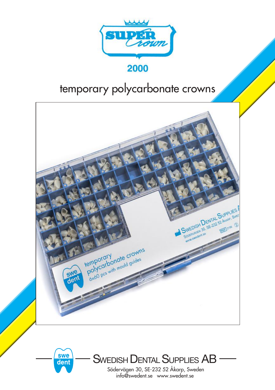

## temporary polycarbonate crowns





SWEDISH DENTAL SUPPLIES AB

Södervägen 30, SE-232 52 Åkarp, Sweden info@swedent.se www.swedent.se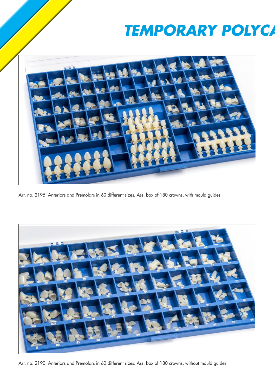## **TEMPORARY POLYCA**



Art. no. 2195. Anteriors and Premolars in 60 different sizes. Ass. box of 180 crowns, with mould guides.



Art. no. 2190. Anteriors and Premolars in 60 different sizes. Ass. box of 180 crowns, without mould guides.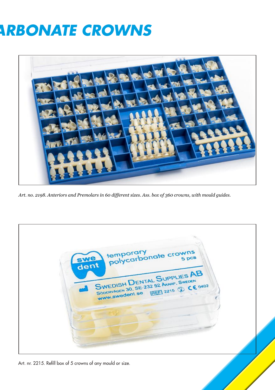## **ARBONATE CROWNS**



*Art. no. 2198. Anteriors and Premolars in 60 different sizes. Ass. box of 360 crowns, with mould guides.*

temporary<br>polycarbonate crowns dent  $5<sub>pc</sub>$ SWEDISH DENTAL SUPPLIES AB SWEDISH DENTAL SUPPLIES CE 0402 W.Swedent.se

Art. nr. 2215. Refill box of 5 crowns of any mould or size.